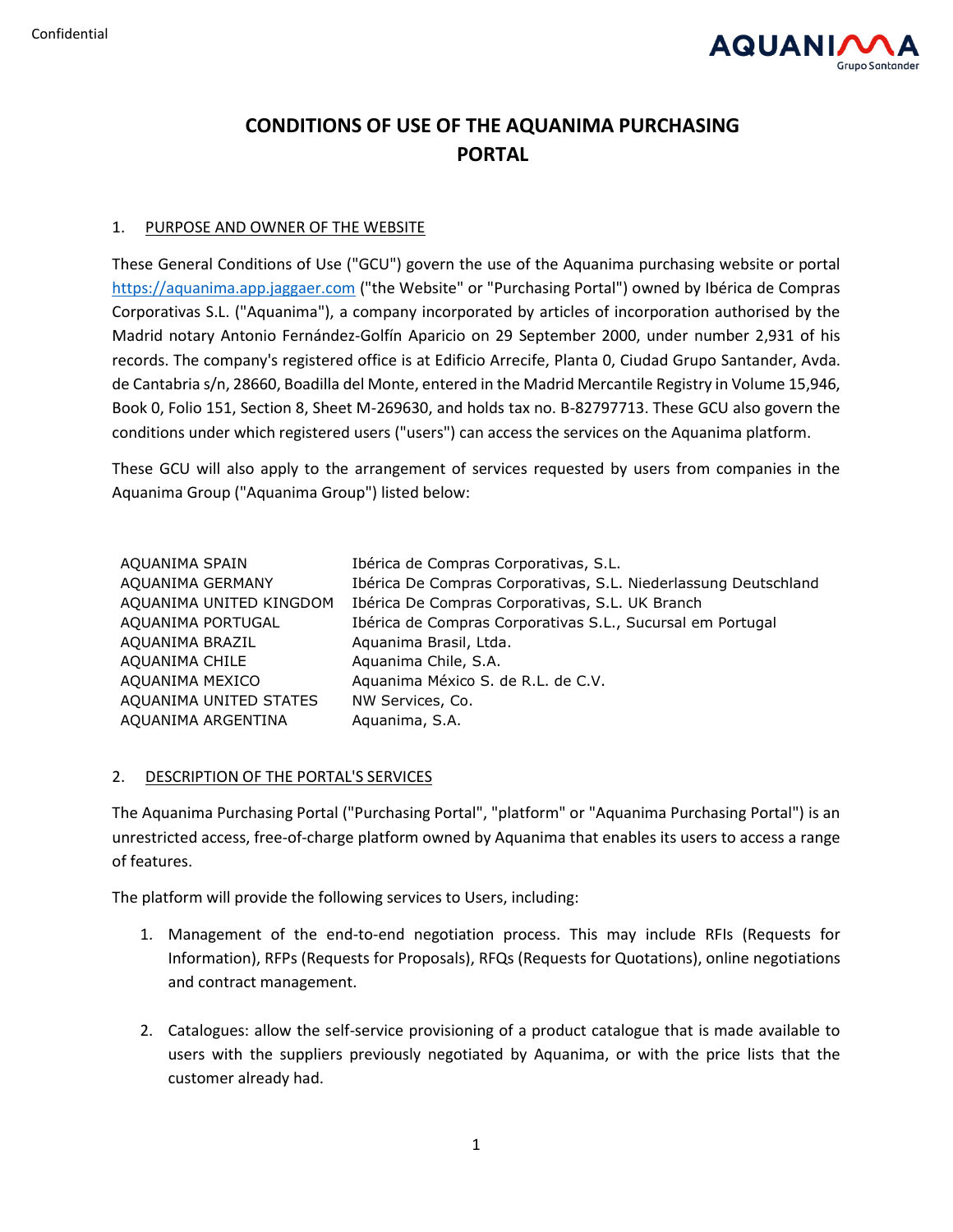

# **CONDITIONS OF USE OF THE AQUANIMA PURCHASING PORTAL**

## 1. PURPOSE AND OWNER OF THE WEBSITE

These General Conditions of Use ("GCU") govern the use of the Aquanima purchasing website or portal [https://aquanima.app.jaggaer.com](https://aquanima.app.jaggaer.com/) ("the Website" or "Purchasing Portal") owned by Ibérica de Compras Corporativas S.L. ("Aquanima"), a company incorporated by articles of incorporation authorised by the Madrid notary Antonio Fernández-Golfín Aparicio on 29 September 2000, under number 2,931 of his records. The company's registered office is at Edificio Arrecife, Planta 0, Ciudad Grupo Santander, Avda. de Cantabria s/n, 28660, Boadilla del Monte, entered in the Madrid Mercantile Registry in Volume 15,946, Book 0, Folio 151, Section 8, Sheet M-269630, and holds tax no. B-82797713. These GCU also govern the conditions under which registered users ("users") can access the services on the Aquanima platform.

These GCU will also apply to the arrangement of services requested by users from companies in the Aquanima Group ("Aquanima Group") listed below:

| AQUANIMA SPAIN          | Ibérica de Compras Corporativas, S.L.                           |
|-------------------------|-----------------------------------------------------------------|
| AQUANIMA GERMANY        | Ibérica De Compras Corporativas, S.L. Niederlassung Deutschland |
| AQUANIMA UNITED KINGDOM | Ibérica De Compras Corporativas, S.L. UK Branch                 |
| AQUANIMA PORTUGAL       | Ibérica de Compras Corporativas S.L., Sucursal em Portugal      |
| AQUANIMA BRAZIL         | Aquanima Brasil, Ltda.                                          |
| AQUANIMA CHILE          | Aquanima Chile, S.A.                                            |
| AQUANIMA MEXICO         | Aquanima México S. de R.L. de C.V.                              |
| AQUANIMA UNITED STATES  | NW Services, Co.                                                |
| AQUANIMA ARGENTINA      | Aquanima, S.A.                                                  |

# 2. DESCRIPTION OF THE PORTAL'S SERVICES

The Aquanima Purchasing Portal ("Purchasing Portal", "platform" or "Aquanima Purchasing Portal") is an unrestricted access, free-of-charge platform owned by Aquanima that enables its users to access a range of features.

The platform will provide the following services to Users, including:

- 1. Management of the end-to-end negotiation process. This may include RFIs (Requests for Information), RFPs (Requests for Proposals), RFQs (Requests for Quotations), online negotiations and contract management.
- 2. Catalogues: allow the self-service provisioning of a product catalogue that is made available to users with the suppliers previously negotiated by Aquanima, or with the price lists that the customer already had.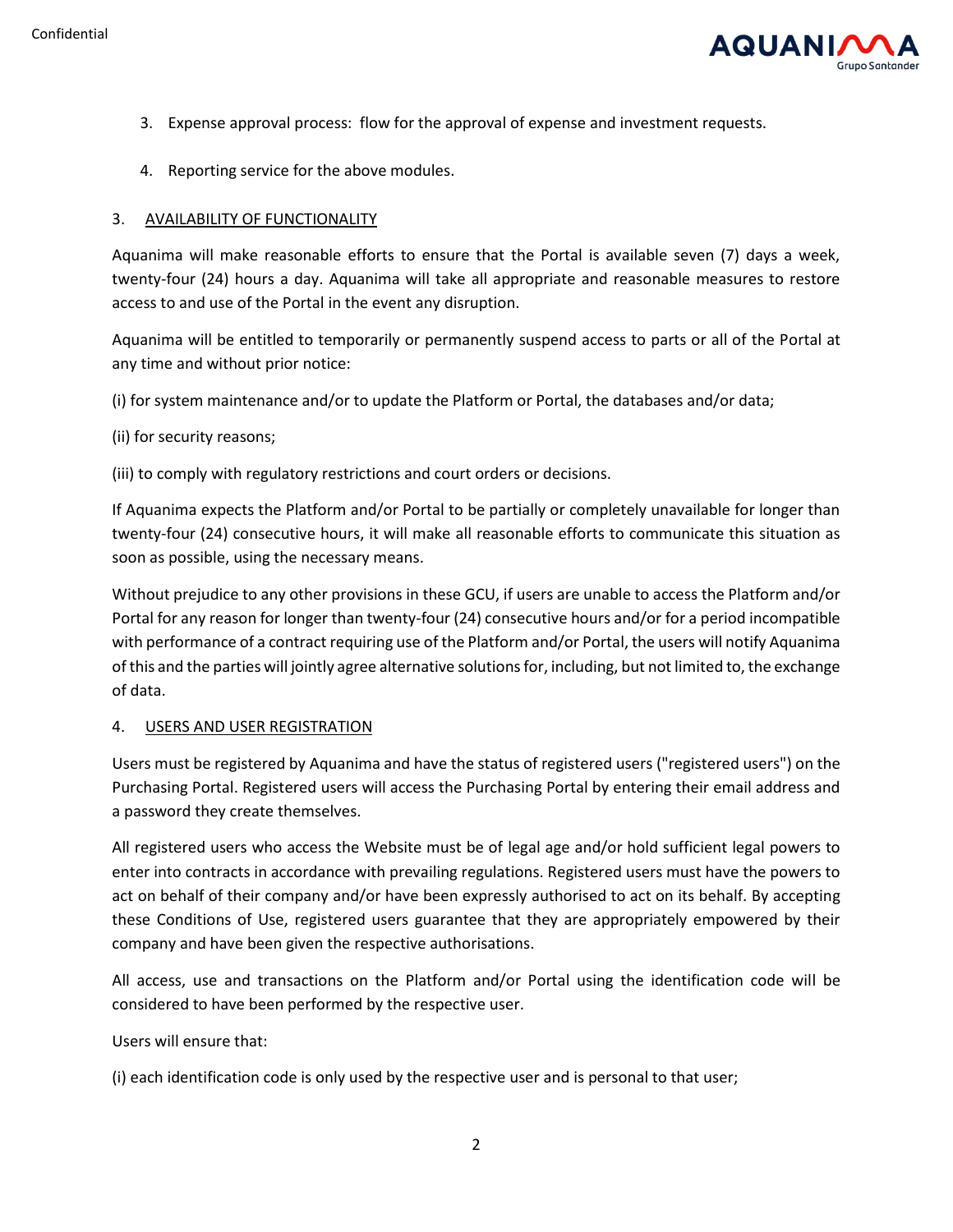

- 3. Expense approval process: flow for the approval of expense and investment requests.
- 4. Reporting service for the above modules.

## 3. AVAILABILITY OF FUNCTIONALITY

Aquanima will make reasonable efforts to ensure that the Portal is available seven (7) days a week, twenty-four (24) hours a day. Aquanima will take all appropriate and reasonable measures to restore access to and use of the Portal in the event any disruption.

Aquanima will be entitled to temporarily or permanently suspend access to parts or all of the Portal at any time and without prior notice:

(i) for system maintenance and/or to update the Platform or Portal, the databases and/or data;

(ii) for security reasons;

(iii) to comply with regulatory restrictions and court orders or decisions.

If Aquanima expects the Platform and/or Portal to be partially or completely unavailable for longer than twenty-four (24) consecutive hours, it will make all reasonable efforts to communicate this situation as soon as possible, using the necessary means.

Without prejudice to any other provisions in these GCU, if users are unable to access the Platform and/or Portal for any reason for longer than twenty-four (24) consecutive hours and/or for a period incompatible with performance of a contract requiring use of the Platform and/or Portal, the users will notify Aquanima of this and the parties will jointly agree alternative solutions for, including, but not limited to, the exchange of data.

#### 4. USERS AND USER REGISTRATION

Users must be registered by Aquanima and have the status of registered users ("registered users") on the Purchasing Portal. Registered users will access the Purchasing Portal by entering their email address and a password they create themselves.

All registered users who access the Website must be of legal age and/or hold sufficient legal powers to enter into contracts in accordance with prevailing regulations. Registered users must have the powers to act on behalf of their company and/or have been expressly authorised to act on its behalf. By accepting these Conditions of Use, registered users guarantee that they are appropriately empowered by their company and have been given the respective authorisations.

All access, use and transactions on the Platform and/or Portal using the identification code will be considered to have been performed by the respective user.

Users will ensure that:

(i) each identification code is only used by the respective user and is personal to that user;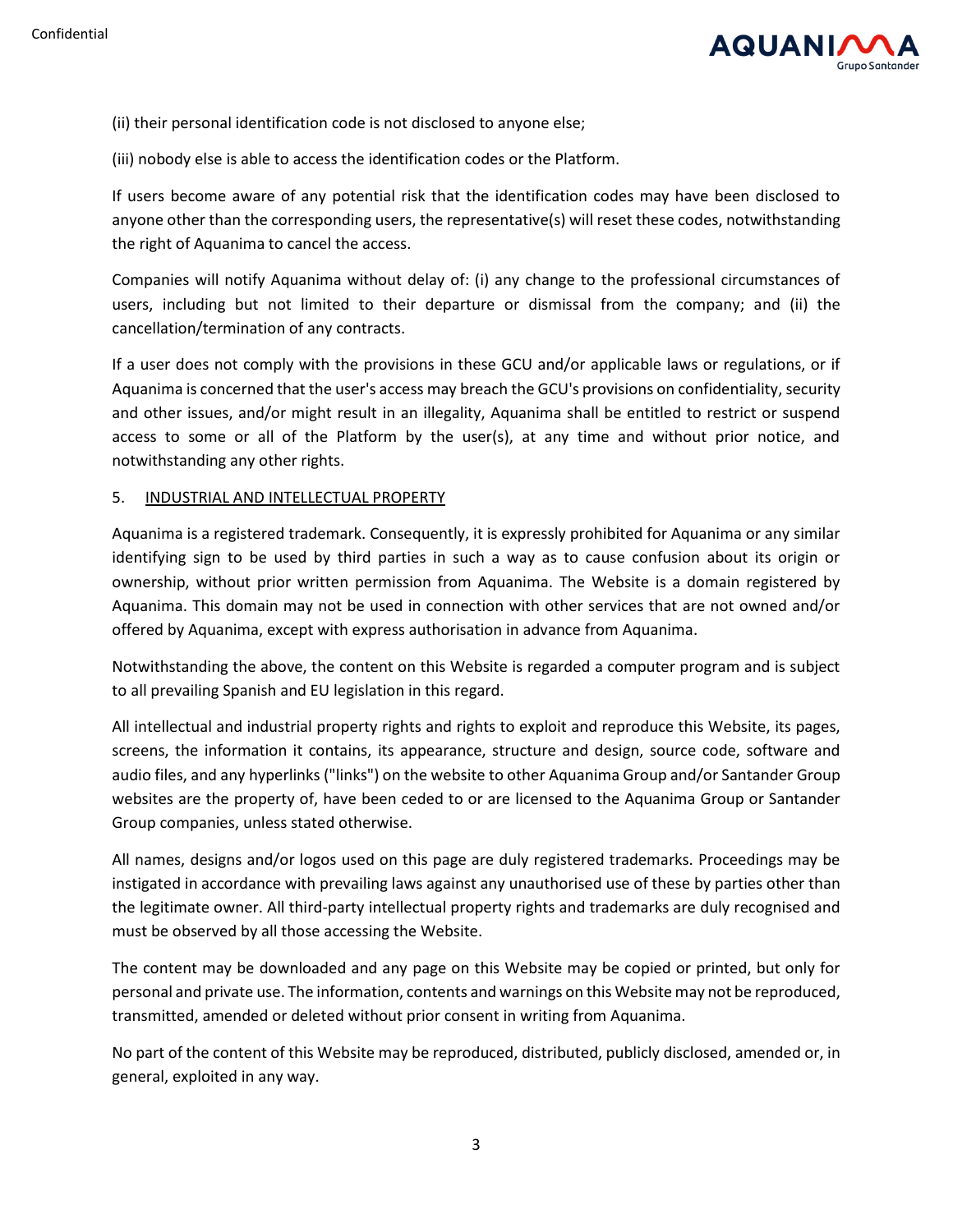

- (ii) their personal identification code is not disclosed to anyone else;
- (iii) nobody else is able to access the identification codes or the Platform.

If users become aware of any potential risk that the identification codes may have been disclosed to anyone other than the corresponding users, the representative(s) will reset these codes, notwithstanding the right of Aquanima to cancel the access.

Companies will notify Aquanima without delay of: (i) any change to the professional circumstances of users, including but not limited to their departure or dismissal from the company; and (ii) the cancellation/termination of any contracts.

If a user does not comply with the provisions in these GCU and/or applicable laws or regulations, or if Aquanima is concerned that the user's access may breach the GCU's provisions on confidentiality, security and other issues, and/or might result in an illegality, Aquanima shall be entitled to restrict or suspend access to some or all of the Platform by the user(s), at any time and without prior notice, and notwithstanding any other rights.

#### 5. INDUSTRIAL AND INTELLECTUAL PROPERTY

Aquanima is a registered trademark. Consequently, it is expressly prohibited for Aquanima or any similar identifying sign to be used by third parties in such a way as to cause confusion about its origin or ownership, without prior written permission from Aquanima. The Website is a domain registered by Aquanima. This domain may not be used in connection with other services that are not owned and/or offered by Aquanima, except with express authorisation in advance from Aquanima.

Notwithstanding the above, the content on this Website is regarded a computer program and is subject to all prevailing Spanish and EU legislation in this regard.

All intellectual and industrial property rights and rights to exploit and reproduce this Website, its pages, screens, the information it contains, its appearance, structure and design, source code, software and audio files, and any hyperlinks ("links") on the website to other Aquanima Group and/or Santander Group websites are the property of, have been ceded to or are licensed to the Aquanima Group or Santander Group companies, unless stated otherwise.

All names, designs and/or logos used on this page are duly registered trademarks. Proceedings may be instigated in accordance with prevailing laws against any unauthorised use of these by parties other than the legitimate owner. All third-party intellectual property rights and trademarks are duly recognised and must be observed by all those accessing the Website.

The content may be downloaded and any page on this Website may be copied or printed, but only for personal and private use. The information, contents and warnings on this Website may not be reproduced, transmitted, amended or deleted without prior consent in writing from Aquanima.

No part of the content of this Website may be reproduced, distributed, publicly disclosed, amended or, in general, exploited in any way.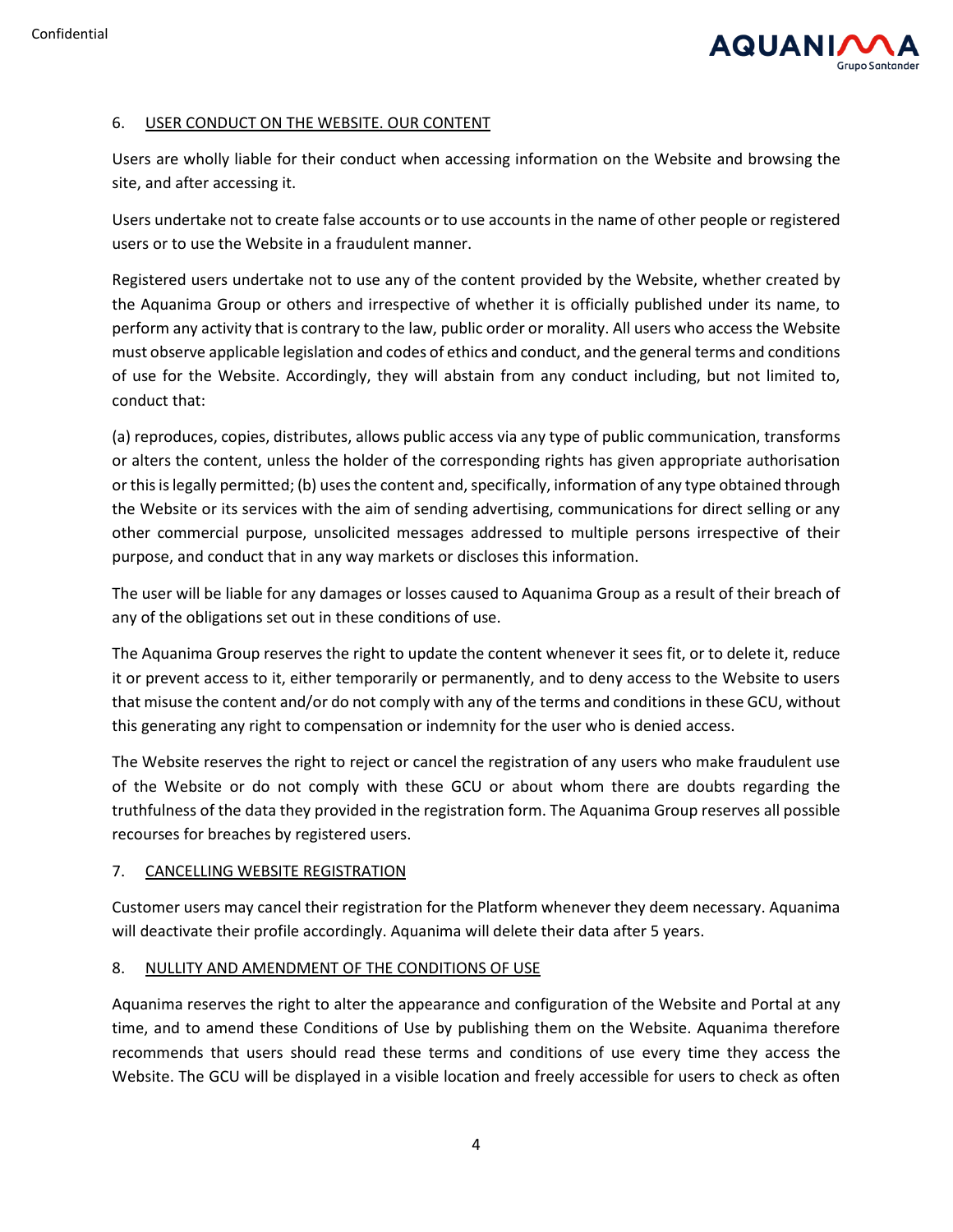

## 6. USER CONDUCT ON THE WEBSITE. OUR CONTENT

Users are wholly liable for their conduct when accessing information on the Website and browsing the site, and after accessing it.

Users undertake not to create false accounts or to use accounts in the name of other people or registered users or to use the Website in a fraudulent manner.

Registered users undertake not to use any of the content provided by the Website, whether created by the Aquanima Group or others and irrespective of whether it is officially published under its name, to perform any activity that is contrary to the law, public order or morality. All users who access the Website must observe applicable legislation and codes of ethics and conduct, and the general terms and conditions of use for the Website. Accordingly, they will abstain from any conduct including, but not limited to, conduct that:

(a) reproduces, copies, distributes, allows public access via any type of public communication, transforms or alters the content, unless the holder of the corresponding rights has given appropriate authorisation or this is legally permitted; (b) uses the content and, specifically, information of any type obtained through the Website or its services with the aim of sending advertising, communications for direct selling or any other commercial purpose, unsolicited messages addressed to multiple persons irrespective of their purpose, and conduct that in any way markets or discloses this information.

The user will be liable for any damages or losses caused to Aquanima Group as a result of their breach of any of the obligations set out in these conditions of use.

The Aquanima Group reserves the right to update the content whenever it sees fit, or to delete it, reduce it or prevent access to it, either temporarily or permanently, and to deny access to the Website to users that misuse the content and/or do not comply with any of the terms and conditions in these GCU, without this generating any right to compensation or indemnity for the user who is denied access.

The Website reserves the right to reject or cancel the registration of any users who make fraudulent use of the Website or do not comply with these GCU or about whom there are doubts regarding the truthfulness of the data they provided in the registration form. The Aquanima Group reserves all possible recourses for breaches by registered users.

#### 7. CANCELLING WEBSITE REGISTRATION

Customer users may cancel their registration for the Platform whenever they deem necessary. Aquanima will deactivate their profile accordingly. Aquanima will delete their data after 5 years.

# 8. NULLITY AND AMENDMENT OF THE CONDITIONS OF USE

Aquanima reserves the right to alter the appearance and configuration of the Website and Portal at any time, and to amend these Conditions of Use by publishing them on the Website. Aquanima therefore recommends that users should read these terms and conditions of use every time they access the Website. The GCU will be displayed in a visible location and freely accessible for users to check as often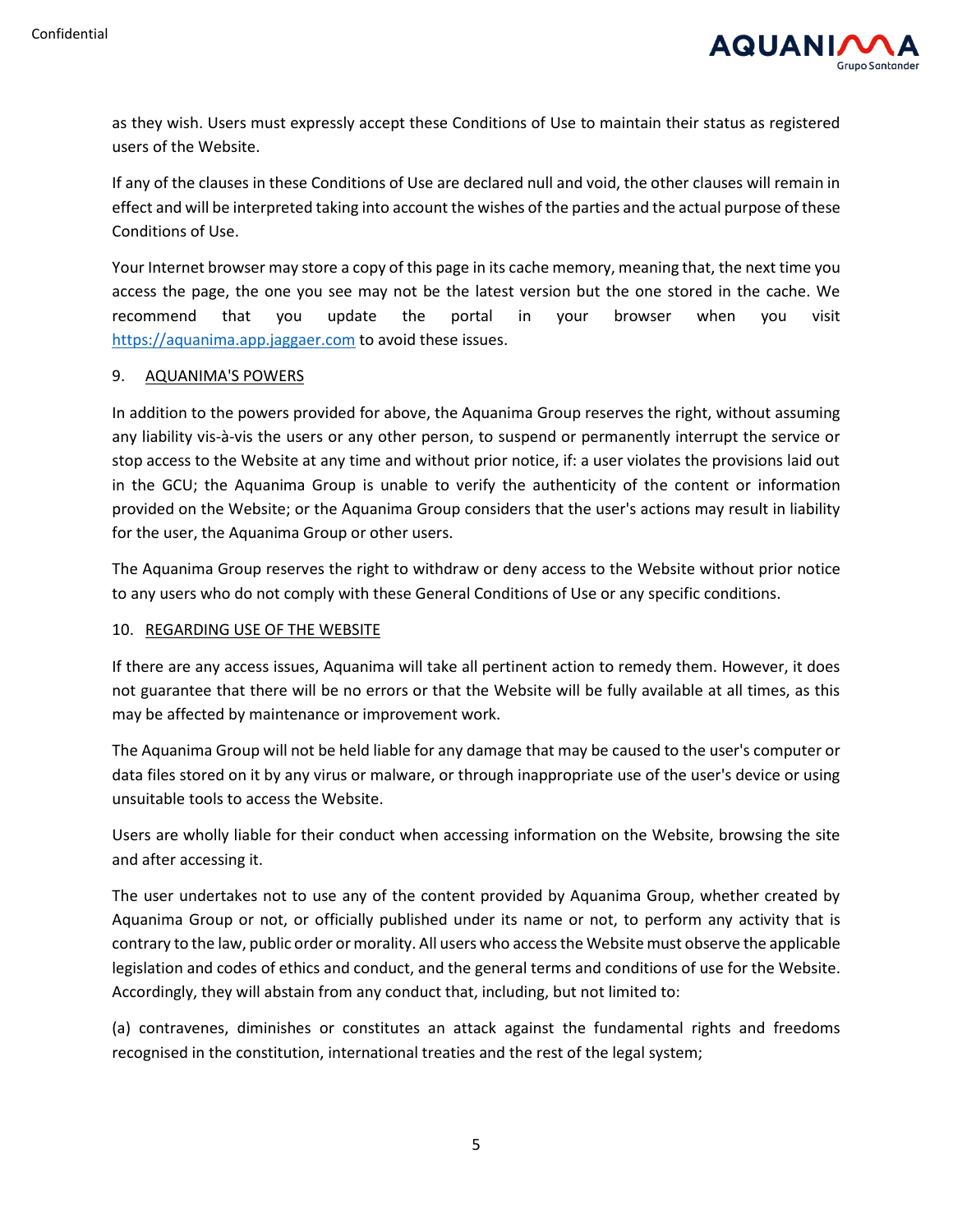

as they wish. Users must expressly accept these Conditions of Use to maintain their status as registered users of the Website.

If any of the clauses in these Conditions of Use are declared null and void, the other clauses will remain in effect and will be interpreted taking into account the wishes of the parties and the actual purpose of these Conditions of Use.

Your Internet browser may store a copy of this page in its cache memory, meaning that, the next time you access the page, the one you see may not be the latest version but the one stored in the cache. We recommend that you update the portal in your browser when you visit [https://aquanima.app.jaggaer.com](https://aquanima.app.jaggaer.com/) to avoid these issues.

#### 9. AQUANIMA'S POWERS

In addition to the powers provided for above, the Aquanima Group reserves the right, without assuming any liability vis-à-vis the users or any other person, to suspend or permanently interrupt the service or stop access to the Website at any time and without prior notice, if: a user violates the provisions laid out in the GCU; the Aquanima Group is unable to verify the authenticity of the content or information provided on the Website; or the Aquanima Group considers that the user's actions may result in liability for the user, the Aquanima Group or other users.

The Aquanima Group reserves the right to withdraw or deny access to the Website without prior notice to any users who do not comply with these General Conditions of Use or any specific conditions.

# 10. REGARDING USE OF THE WEBSITE

If there are any access issues, Aquanima will take all pertinent action to remedy them. However, it does not guarantee that there will be no errors or that the Website will be fully available at all times, as this may be affected by maintenance or improvement work.

The Aquanima Group will not be held liable for any damage that may be caused to the user's computer or data files stored on it by any virus or malware, or through inappropriate use of the user's device or using unsuitable tools to access the Website.

Users are wholly liable for their conduct when accessing information on the Website, browsing the site and after accessing it.

The user undertakes not to use any of the content provided by Aquanima Group, whether created by Aquanima Group or not, or officially published under its name or not, to perform any activity that is contrary to the law, public order or morality. All users who access the Website must observe the applicable legislation and codes of ethics and conduct, and the general terms and conditions of use for the Website. Accordingly, they will abstain from any conduct that, including, but not limited to:

(a) contravenes, diminishes or constitutes an attack against the fundamental rights and freedoms recognised in the constitution, international treaties and the rest of the legal system;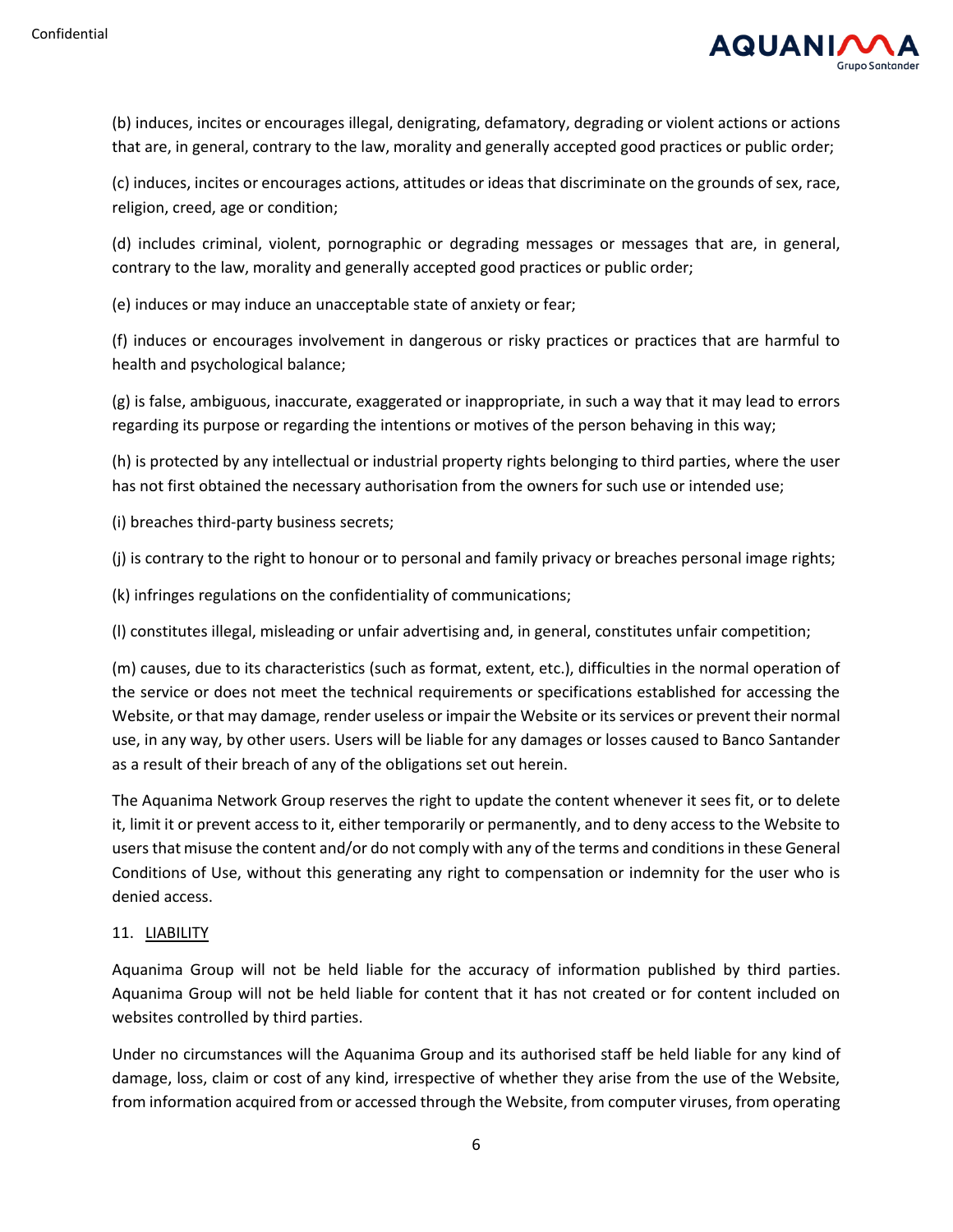

(b) induces, incites or encourages illegal, denigrating, defamatory, degrading or violent actions or actions that are, in general, contrary to the law, morality and generally accepted good practices or public order;

(c) induces, incites or encourages actions, attitudes or ideas that discriminate on the grounds of sex, race, religion, creed, age or condition;

(d) includes criminal, violent, pornographic or degrading messages or messages that are, in general, contrary to the law, morality and generally accepted good practices or public order;

(e) induces or may induce an unacceptable state of anxiety or fear;

(f) induces or encourages involvement in dangerous or risky practices or practices that are harmful to health and psychological balance;

(g) is false, ambiguous, inaccurate, exaggerated or inappropriate, in such a way that it may lead to errors regarding its purpose or regarding the intentions or motives of the person behaving in this way;

(h) is protected by any intellectual or industrial property rights belonging to third parties, where the user has not first obtained the necessary authorisation from the owners for such use or intended use;

(i) breaches third-party business secrets;

(j) is contrary to the right to honour or to personal and family privacy or breaches personal image rights;

(k) infringes regulations on the confidentiality of communications;

(l) constitutes illegal, misleading or unfair advertising and, in general, constitutes unfair competition;

(m) causes, due to its characteristics (such as format, extent, etc.), difficulties in the normal operation of the service or does not meet the technical requirements or specifications established for accessing the Website, or that may damage, render useless or impair the Website or its services or prevent their normal use, in any way, by other users. Users will be liable for any damages or losses caused to Banco Santander as a result of their breach of any of the obligations set out herein.

The Aquanima Network Group reserves the right to update the content whenever it sees fit, or to delete it, limit it or prevent access to it, either temporarily or permanently, and to deny access to the Website to users that misuse the content and/or do not comply with any of the terms and conditions in these General Conditions of Use, without this generating any right to compensation or indemnity for the user who is denied access.

#### 11. LIABILITY

Aquanima Group will not be held liable for the accuracy of information published by third parties. Aquanima Group will not be held liable for content that it has not created or for content included on websites controlled by third parties.

Under no circumstances will the Aquanima Group and its authorised staff be held liable for any kind of damage, loss, claim or cost of any kind, irrespective of whether they arise from the use of the Website, from information acquired from or accessed through the Website, from computer viruses, from operating